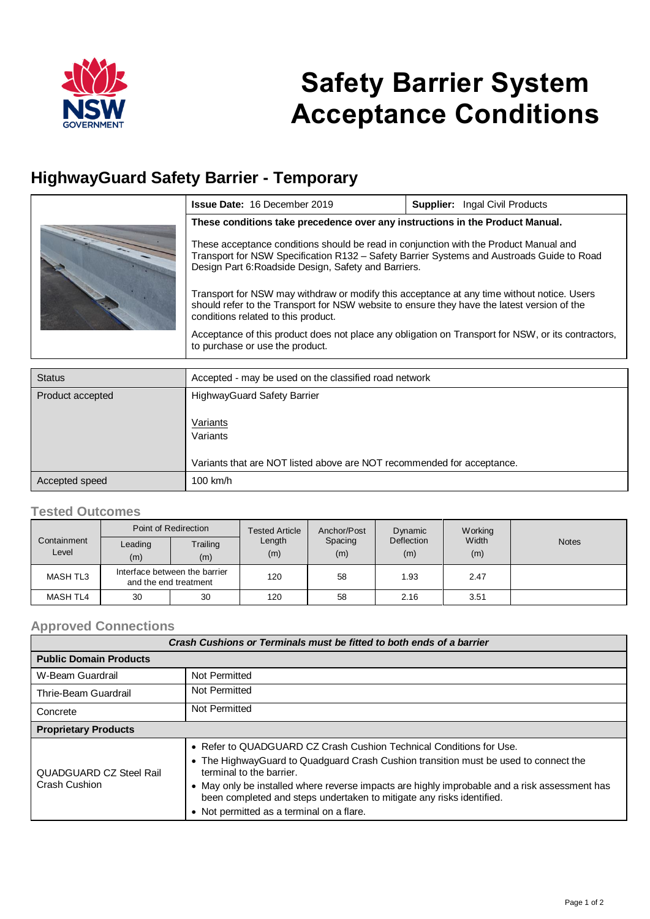

# **Safety Barrier System Acceptance Conditions**

## **HighwayGuard Safety Barrier - Temporary**

|  | <b>Issue Date: 16 December 2019</b>                                                                                                                                                                                                        | <b>Supplier:</b> Ingal Civil Products |  |
|--|--------------------------------------------------------------------------------------------------------------------------------------------------------------------------------------------------------------------------------------------|---------------------------------------|--|
|  | These conditions take precedence over any instructions in the Product Manual.                                                                                                                                                              |                                       |  |
|  | These acceptance conditions should be read in conjunction with the Product Manual and<br>Transport for NSW Specification R132 - Safety Barrier Systems and Austroads Guide to Road<br>Design Part 6: Roadside Design, Safety and Barriers. |                                       |  |
|  | Transport for NSW may withdraw or modify this acceptance at any time without notice. Users<br>should refer to the Transport for NSW website to ensure they have the latest version of the<br>conditions related to this product.           |                                       |  |
|  | Acceptance of this product does not place any obligation on Transport for NSW, or its contractors,<br>to purchase or use the product.                                                                                                      |                                       |  |

| <b>Status</b>    | Accepted - may be used on the classified road network                                                                                |
|------------------|--------------------------------------------------------------------------------------------------------------------------------------|
| Product accepted | <b>HighwayGuard Safety Barrier</b><br>Variants<br>Variants<br>Variants that are NOT listed above are NOT recommended for acceptance. |
| Accepted speed   | $100$ km/h                                                                                                                           |

#### **Tested Outcomes**

|                      | Point of Redirection                                   |                 | <b>Tested Article</b> | Anchor/Post    | Dynamic           | Working      |              |
|----------------------|--------------------------------------------------------|-----------------|-----------------------|----------------|-------------------|--------------|--------------|
| Containment<br>Level | Leading<br>(m)                                         | Trailing<br>(m) | Length<br>(m)         | Spacing<br>(m) | Deflection<br>(m) | Width<br>(m) | <b>Notes</b> |
| MASH TL3             | Interface between the barrier<br>and the end treatment |                 | 120                   | 58             | 1.93              | 2.47         |              |
| MASH TL4             | 30                                                     | 30              | 120                   | 58             | 2.16              | 3.51         |              |

#### **Approved Connections**

| Crash Cushions or Terminals must be fitted to both ends of a barrier |                                                                                                                                                                                                                                                                                                                                                                                                                |  |  |
|----------------------------------------------------------------------|----------------------------------------------------------------------------------------------------------------------------------------------------------------------------------------------------------------------------------------------------------------------------------------------------------------------------------------------------------------------------------------------------------------|--|--|
| <b>Public Domain Products</b>                                        |                                                                                                                                                                                                                                                                                                                                                                                                                |  |  |
| W-Beam Guardrail                                                     | Not Permitted                                                                                                                                                                                                                                                                                                                                                                                                  |  |  |
| Thrie-Beam Guardrail                                                 | Not Permitted                                                                                                                                                                                                                                                                                                                                                                                                  |  |  |
| Concrete                                                             | Not Permitted                                                                                                                                                                                                                                                                                                                                                                                                  |  |  |
| <b>Proprietary Products</b>                                          |                                                                                                                                                                                                                                                                                                                                                                                                                |  |  |
| QUADGUARD CZ Steel Rail<br>Crash Cushion                             | • Refer to QUADGUARD CZ Crash Cushion Technical Conditions for Use.<br>• The HighwayGuard to Quadguard Crash Cushion transition must be used to connect the<br>terminal to the barrier.<br>• May only be installed where reverse impacts are highly improbable and a risk assessment has<br>been completed and steps undertaken to mitigate any risks identified.<br>• Not permitted as a terminal on a flare. |  |  |